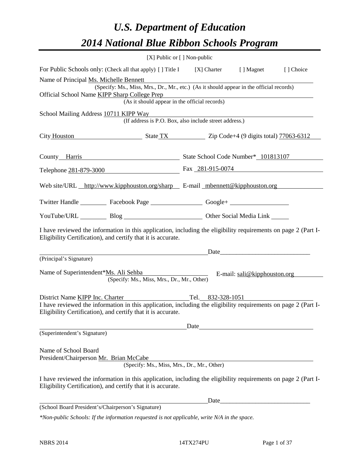# *U.S. Department of Education 2014 National Blue Ribbon Schools Program*

|                                                                                                                                                                                |                                                                                                                                           | [X] Public or $[$ ] Non-public |                                         |            |
|--------------------------------------------------------------------------------------------------------------------------------------------------------------------------------|-------------------------------------------------------------------------------------------------------------------------------------------|--------------------------------|-----------------------------------------|------------|
| For Public Schools only: (Check all that apply) [] Title I [X] Charter [] Magnet                                                                                               |                                                                                                                                           |                                |                                         | [ ] Choice |
| Name of Principal Ms. Michelle Bennett<br>Official School Name KIPP Sharp College Prep                                                                                         | (Specify: Ms., Miss, Mrs., Dr., Mr., etc.) (As it should appear in the official records)<br>(As it should appear in the official records) |                                |                                         |            |
| School Mailing Address 10711 KIPP Way                                                                                                                                          | (If address is P.O. Box, also include street address.)                                                                                    |                                |                                         |            |
| City Houston State TX Zip Code+4 (9 digits total) 77063-6312                                                                                                                   |                                                                                                                                           |                                |                                         |            |
| County Harris State School Code Number* 101813107                                                                                                                              |                                                                                                                                           |                                |                                         |            |
| Telephone 281-879-3000 Fax 281-915-0074                                                                                                                                        |                                                                                                                                           |                                |                                         |            |
| Web site/URL http://www.kipphouston.org/sharp E-mail mbennett@kipphouston.org                                                                                                  |                                                                                                                                           |                                |                                         |            |
| Twitter Handle ___________ Facebook Page ___________________ Google+ ____________                                                                                              |                                                                                                                                           |                                |                                         |            |
| YouTube/URL Blog Blog Cher Social Media Link                                                                                                                                   |                                                                                                                                           |                                |                                         |            |
| I have reviewed the information in this application, including the eligibility requirements on page 2 (Part I-<br>Eligibility Certification), and certify that it is accurate. |                                                                                                                                           |                                |                                         |            |
|                                                                                                                                                                                |                                                                                                                                           | Date                           |                                         |            |
| (Principal's Signature)                                                                                                                                                        |                                                                                                                                           |                                |                                         |            |
| Name of Superintendent*Ms. Ali Sehba                                                                                                                                           | (Specify: Ms., Miss, Mrs., Dr., Mr., Other)                                                                                               |                                | E-mail: $\text{sali}\&$ kipphouston.org |            |
| District Name KIPP Inc. Charter                                                                                                                                                |                                                                                                                                           | Tel. 832-328-1051              |                                         |            |
| I have reviewed the information in this application, including the eligibility requirements on page 2 (Part I-<br>Eligibility Certification), and certify that it is accurate. |                                                                                                                                           |                                |                                         |            |
|                                                                                                                                                                                |                                                                                                                                           | Date                           |                                         |            |
| (Superintendent's Signature)                                                                                                                                                   |                                                                                                                                           |                                |                                         |            |
| Name of School Board<br>President/Chairperson Mr. Brian McCabe                                                                                                                 | (Specify: Ms., Miss, Mrs., Dr., Mr., Other)                                                                                               |                                |                                         |            |
| I have reviewed the information in this application, including the eligibility requirements on page 2 (Part I-<br>Eligibility Certification), and certify that it is accurate. |                                                                                                                                           |                                |                                         |            |
|                                                                                                                                                                                |                                                                                                                                           | Date                           |                                         |            |
| (School Board President's/Chairperson's Signature)                                                                                                                             |                                                                                                                                           |                                |                                         |            |
| *Non-public Schools: If the information requested is not applicable, write N/A in the space.                                                                                   |                                                                                                                                           |                                |                                         |            |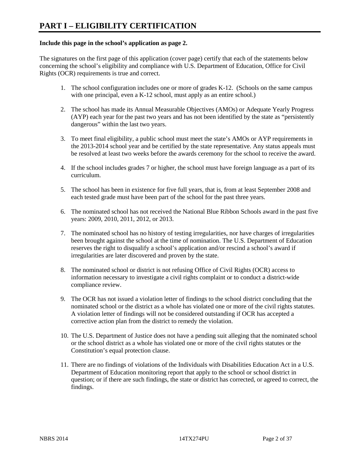#### **Include this page in the school's application as page 2.**

The signatures on the first page of this application (cover page) certify that each of the statements below concerning the school's eligibility and compliance with U.S. Department of Education, Office for Civil Rights (OCR) requirements is true and correct.

- 1. The school configuration includes one or more of grades K-12. (Schools on the same campus with one principal, even a K-12 school, must apply as an entire school.)
- 2. The school has made its Annual Measurable Objectives (AMOs) or Adequate Yearly Progress (AYP) each year for the past two years and has not been identified by the state as "persistently dangerous" within the last two years.
- 3. To meet final eligibility, a public school must meet the state's AMOs or AYP requirements in the 2013-2014 school year and be certified by the state representative. Any status appeals must be resolved at least two weeks before the awards ceremony for the school to receive the award.
- 4. If the school includes grades 7 or higher, the school must have foreign language as a part of its curriculum.
- 5. The school has been in existence for five full years, that is, from at least September 2008 and each tested grade must have been part of the school for the past three years.
- 6. The nominated school has not received the National Blue Ribbon Schools award in the past five years: 2009, 2010, 2011, 2012, or 2013.
- 7. The nominated school has no history of testing irregularities, nor have charges of irregularities been brought against the school at the time of nomination. The U.S. Department of Education reserves the right to disqualify a school's application and/or rescind a school's award if irregularities are later discovered and proven by the state.
- 8. The nominated school or district is not refusing Office of Civil Rights (OCR) access to information necessary to investigate a civil rights complaint or to conduct a district-wide compliance review.
- 9. The OCR has not issued a violation letter of findings to the school district concluding that the nominated school or the district as a whole has violated one or more of the civil rights statutes. A violation letter of findings will not be considered outstanding if OCR has accepted a corrective action plan from the district to remedy the violation.
- 10. The U.S. Department of Justice does not have a pending suit alleging that the nominated school or the school district as a whole has violated one or more of the civil rights statutes or the Constitution's equal protection clause.
- 11. There are no findings of violations of the Individuals with Disabilities Education Act in a U.S. Department of Education monitoring report that apply to the school or school district in question; or if there are such findings, the state or district has corrected, or agreed to correct, the findings.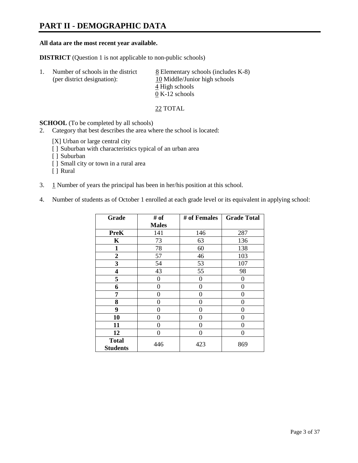## **PART II - DEMOGRAPHIC DATA**

#### **All data are the most recent year available.**

**DISTRICT** (Question 1 is not applicable to non-public schools)

| -1. | Number of schools in the district<br>(per district designation): | 8 Elementary schools (includes K-8)<br>10 Middle/Junior high schools<br>4 High schools |
|-----|------------------------------------------------------------------|----------------------------------------------------------------------------------------|
|     |                                                                  | $0 K-12$ schools                                                                       |

22 TOTAL

**SCHOOL** (To be completed by all schools)

- 2. Category that best describes the area where the school is located:
	- [X] Urban or large central city
	- [ ] Suburban with characteristics typical of an urban area
	- [ ] Suburban
	- [ ] Small city or town in a rural area
	- [ ] Rural
- 3. 1 Number of years the principal has been in her/his position at this school.
- 4. Number of students as of October 1 enrolled at each grade level or its equivalent in applying school:

| Grade           | # of         | # of Females | <b>Grade Total</b> |
|-----------------|--------------|--------------|--------------------|
|                 | <b>Males</b> |              |                    |
| <b>PreK</b>     | 141          | 146          | 287                |
| K               | 73           | 63           | 136                |
| $\mathbf{1}$    | 78           | 60           | 138                |
| $\overline{2}$  | 57           | 46           | 103                |
| 3               | 54           | 53           | 107                |
| 4               | 43           | 55           | 98                 |
| 5               | 0            | $\Omega$     | $\theta$           |
| 6               | $\theta$     | 0            | 0                  |
| 7               | 0            | 0            | 0                  |
| 8               | $\theta$     | 0            | 0                  |
| 9               | $\theta$     | 0            | 0                  |
| 10              | 0            | 0            | 0                  |
| 11              | 0            | 0            | 0                  |
| 12              | 0            | 0            | 0                  |
| <b>Total</b>    | 446          | 423          | 869                |
| <b>Students</b> |              |              |                    |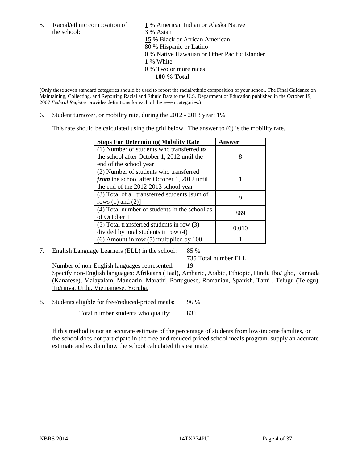the school: 3 % Asian

5. Racial/ethnic composition of  $1\%$  American Indian or Alaska Native 15 % Black or African American 80 % Hispanic or Latino 0 % Native Hawaiian or Other Pacific Islander 1 % White 0 % Two or more races **100 % Total**

(Only these seven standard categories should be used to report the racial/ethnic composition of your school. The Final Guidance on Maintaining, Collecting, and Reporting Racial and Ethnic Data to the U.S. Department of Education published in the October 19, 2007 *Federal Register* provides definitions for each of the seven categories.)

6. Student turnover, or mobility rate, during the  $2012 - 2013$  year:  $1\%$ 

This rate should be calculated using the grid below. The answer to (6) is the mobility rate.

| <b>Steps For Determining Mobility Rate</b>         | Answer |
|----------------------------------------------------|--------|
| (1) Number of students who transferred to          |        |
| the school after October 1, 2012 until the         | 8      |
| end of the school year                             |        |
| (2) Number of students who transferred             |        |
| <i>from</i> the school after October 1, 2012 until |        |
| the end of the 2012-2013 school year               |        |
| (3) Total of all transferred students [sum of      | 9      |
| rows $(1)$ and $(2)$ ]                             |        |
| (4) Total number of students in the school as      | 869    |
| of October 1                                       |        |
| $(5)$ Total transferred students in row $(3)$      | 0.010  |
| divided by total students in row (4)               |        |
| $(6)$ Amount in row $(5)$ multiplied by 100        |        |

7. English Language Learners (ELL) in the school: 85 %

735 Total number ELL

Number of non-English languages represented: 19 Specify non-English languages: Afrikaans (Taal), Amharic, Arabic, Ethiopic, Hindi, Ibo/Igbo, Kannada (Kanarese), Malayalam, Mandarin, Marathi, Portuguese, Romanian, Spanish, Tamil, Telugu (Telegu), Tigrinya, Urdu, Vietnamese, Yoruba.

8. Students eligible for free/reduced-priced meals: 96 %

Total number students who qualify: 836

If this method is not an accurate estimate of the percentage of students from low-income families, or the school does not participate in the free and reduced-priced school meals program, supply an accurate estimate and explain how the school calculated this estimate.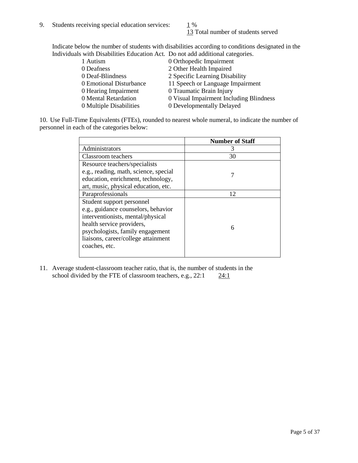13 Total number of students served

Indicate below the number of students with disabilities according to conditions designated in the Individuals with Disabilities Education Act. Do not add additional categories.

| 1 Autism                | 0 Orthopedic Impairment                 |
|-------------------------|-----------------------------------------|
| 0 Deafness              | 2 Other Health Impaired                 |
| 0 Deaf-Blindness        | 2 Specific Learning Disability          |
| 0 Emotional Disturbance | 11 Speech or Language Impairment        |
| 0 Hearing Impairment    | 0 Traumatic Brain Injury                |
| 0 Mental Retardation    | 0 Visual Impairment Including Blindness |
| 0 Multiple Disabilities | 0 Developmentally Delayed               |
|                         |                                         |

10. Use Full-Time Equivalents (FTEs), rounded to nearest whole numeral, to indicate the number of personnel in each of the categories below:

|                                       | <b>Number of Staff</b> |
|---------------------------------------|------------------------|
| Administrators                        | З                      |
| Classroom teachers                    | 30                     |
| Resource teachers/specialists         |                        |
| e.g., reading, math, science, special |                        |
| education, enrichment, technology,    |                        |
| art, music, physical education, etc.  |                        |
| Paraprofessionals                     | 12                     |
| Student support personnel             |                        |
| e.g., guidance counselors, behavior   |                        |
| interventionists, mental/physical     |                        |
| health service providers,             | 6                      |
| psychologists, family engagement      |                        |
| liaisons, career/college attainment   |                        |
| coaches, etc.                         |                        |
|                                       |                        |

11. Average student-classroom teacher ratio, that is, the number of students in the school divided by the FTE of classroom teachers, e.g.,  $22:1$   $24:1$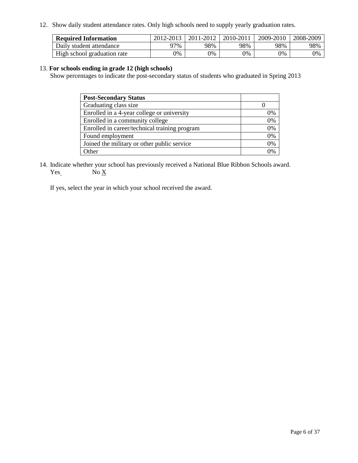12. Show daily student attendance rates. Only high schools need to supply yearly graduation rates.

| <b>Required Information</b> | 2012-2013 | 2011-2012 | 2010-2011 | 2009-2010 | 2008-2009 |
|-----------------------------|-----------|-----------|-----------|-----------|-----------|
| Daily student attendance    | 77%       | 98%       | 98%       | 98%       | 98%       |
| High school graduation rate | 0%        | 9%        | 0%        | 0%        | 0%        |

#### 13. **For schools ending in grade 12 (high schools)**

Show percentages to indicate the post-secondary status of students who graduated in Spring 2013

| <b>Post-Secondary Status</b>                  |    |
|-----------------------------------------------|----|
| Graduating class size                         |    |
| Enrolled in a 4-year college or university    | 0% |
| Enrolled in a community college               | 0% |
| Enrolled in career/technical training program | 0% |
| Found employment                              | 0% |
| Joined the military or other public service   | 0% |
| <b>)</b> ther                                 | 2% |

14. Indicate whether your school has previously received a National Blue Ribbon Schools award.  $Yes$  No  $X$ 

If yes, select the year in which your school received the award.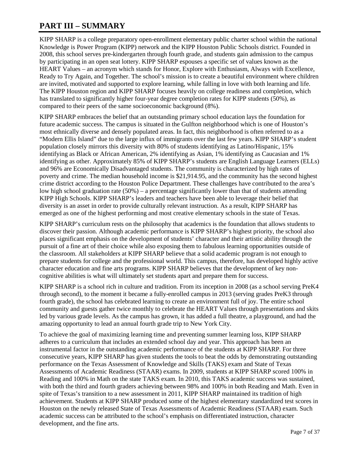## **PART III – SUMMARY**

KIPP SHARP is a college preparatory open-enrollment elementary public charter school within the national Knowledge is Power Program (KIPP) network and the KIPP Houston Public Schools district. Founded in 2008, this school serves pre-kindergarten through fourth grade, and students gain admission to the campus by participating in an open seat lottery. KIPP SHARP espouses a specific set of values known as the HEART Values – an acronym which stands for Honor, Explore with Enthusiasm, Always with Excellence, Ready to Try Again, and Together. The school's mission is to create a beautiful environment where children are invited, motivated and supported to explore learning, while falling in love with both learning and life. The KIPP Houston region and KIPP SHARP focuses heavily on college readiness and completion, which has translated to significantly higher four-year degree completion rates for KIPP students (50%), as compared to their peers of the same socioeconomic background (8%).

KIPP SHARP embraces the belief that an outstanding primary school education lays the foundation for future academic success. The campus is situated in the Gulfton neighborhood which is one of Houston's most ethnically diverse and densely populated areas. In fact, this neighborhood is often referred to as a "Modern Ellis Island" due to the large influx of immigrants over the last few years. KIPP SHARP's student population closely mirrors this diversity with 80% of students identifying as Latino/Hispanic, 15% identifying as Black or African American, 2% identifying as Asian, 1% identifying as Caucasian and 1% identifying as other. Approximately 85% of KIPP SHARP's students are English Language Learners (ELLs) and 96% are Economically Disadvantaged students. The community is characterized by high rates of poverty and crime. The median household income is \$21,914.95, and the community has the second highest crime district according to the Houston Police Department. These challenges have contributed to the area's low high school graduation rate (50%) – a percentage significantly lower than that of students attending KIPP High Schools. KIPP SHARP's leaders and teachers have been able to leverage their belief that diversity is an asset in order to provide culturally relevant instruction. As a result, KIPP SHARP has emerged as one of the highest performing and most creative elementary schools in the state of Texas.

KIPP SHARP's curriculum rests on the philosophy that academics is the foundation that allows students to discover their passion. Although academic performance is KIPP SHARP's highest priority, the school also places significant emphasis on the development of students' character and their artistic ability through the pursuit of a fine art of their choice while also exposing them to fabulous learning opportunities outside of the classroom. All stakeholders at KIPP SHARP believe that a solid academic program is not enough to prepare students for college and the professional world. This campus, therefore, has developed highly active character education and fine arts programs. KIPP SHARP believes that the development of key noncognitive abilities is what will ultimately set students apart and prepare them for success.

KIPP SHARP is a school rich in culture and tradition. From its inception in 2008 (as a school serving PreK4 through second), to the moment it became a fully-enrolled campus in 2013 (serving grades PreK3 through fourth grade), the school has celebrated learning to create an environment full of joy. The entire school community and guests gather twice monthly to celebrate the HEART Values through presentations and skits led by various grade levels. As the campus has grown, it has added a full theatre, a playground, and had the amazing opportunity to lead an annual fourth grade trip to New York City.

To achieve the goal of maximizing learning time and preventing summer learning loss, KIPP SHARP adheres to a curriculum that includes an extended school day and year. This approach has been an instrumental factor in the outstanding academic performance of the students at KIPP SHARP. For three consecutive years, KIPP SHARP has given students the tools to beat the odds by demonstrating outstanding performance on the Texas Assessment of Knowledge and Skills (TAKS) exam and State of Texas Assessments of Academic Readiness (STAAR) exams. In 2009, students at KIPP SHARP scored 100% in Reading and 100% in Math on the state TAKS exam. In 2010, this TAKS academic success was sustained, with both the third and fourth graders achieving between 98% and 100% in both Reading and Math. Even in spite of Texas's transition to a new assessment in 2011, KIPP SHARP maintained its tradition of high achievement. Students at KIPP SHARP produced some of the highest elementary standardized test scores in Houston on the newly released State of Texas Assessments of Academic Readiness (STAAR) exam. Such academic success can be attributed to the school's emphasis on differentiated instruction, character development, and the fine arts.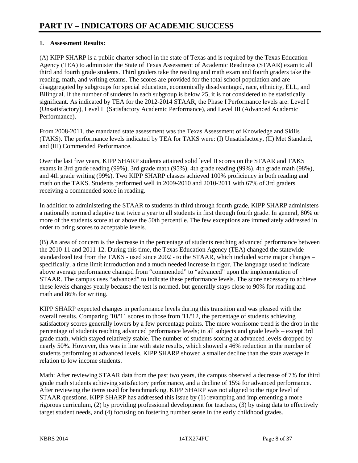### **1. Assessment Results:**

(A) KIPP SHARP is a public charter school in the state of Texas and is required by the Texas Education Agency (TEA) to administer the State of Texas Assessment of Academic Readiness (STAAR) exam to all third and fourth grade students. Third graders take the reading and math exam and fourth graders take the reading, math, and writing exams. The scores are provided for the total school population and are disaggregated by subgroups for special education, economically disadvantaged, race, ethnicity, ELL, and Bilingual. If the number of students in each subgroup is below 25, it is not considered to be statistically significant. As indicated by TEA for the 2012-2014 STAAR, the Phase I Performance levels are: Level I (Unsatisfactory), Level II (Satisfactory Academic Performance), and Level III (Advanced Academic Performance).

From 2008-2011, the mandated state assessment was the Texas Assessment of Knowledge and Skills (TAKS). The performance levels indicated by TEA for TAKS were: (I) Unsatisfactory, (II) Met Standard, and (III) Commended Performance.

Over the last five years, KIPP SHARP students attained solid level II scores on the STAAR and TAKS exams in 3rd grade reading (99%), 3rd grade math (95%), 4th grade reading (99%), 4th grade math (98%), and 4th grade writing (99%). Two KIPP SHARP classes achieved 100% proficiency in both reading and math on the TAKS. Students performed well in 2009-2010 and 2010-2011 with 67% of 3rd graders receiving a commended score in reading.

In addition to administering the STAAR to students in third through fourth grade, KIPP SHARP administers a nationally normed adaptive test twice a year to all students in first through fourth grade. In general, 80% or more of the students score at or above the 50th percentile. The few exceptions are immediately addressed in order to bring scores to acceptable levels.

(B) An area of concern is the decrease in the percentage of students reaching advanced performance between the 2010-11 and 2011-12. During this time, the Texas Education Agency (TEA) changed the statewide standardized test from the TAKS - used since 2002 - to the STAAR, which included some major changes – specifically, a time limit introduction and a much needed increase in rigor. The language used to indicate above average performance changed from "commended" to "advanced" upon the implementation of STAAR. The campus uses "advanced" to indicate these performance levels. The score necessary to achieve these levels changes yearly because the test is normed, but generally stays close to 90% for reading and math and 86% for writing.

KIPP SHARP expected changes in performance levels during this transition and was pleased with the overall results. Comparing '10/'11 scores to those from '11/'12, the percentage of students achieving satisfactory scores generally lowers by a few percentage points. The more worrisome trend is the drop in the percentage of students reaching advanced performance levels; in all subjects and grade levels – except 3rd grade math, which stayed relatively stable. The number of students scoring at advanced levels dropped by nearly 50%. However, this was in line with state results, which showed a 46% reduction in the number of students performing at advanced levels. KIPP SHARP showed a smaller decline than the state average in relation to low income students.

Math: After reviewing STAAR data from the past two years, the campus observed a decrease of 7% for third grade math students achieving satisfactory performance, and a decline of 15% for advanced performance. After reviewing the items used for benchmarking, KIPP SHARP was not aligned to the rigor level of STAAR questions. KIPP SHARP has addressed this issue by (1) revamping and implementing a more rigorous curriculum, (2) by providing professional development for teachers, (3) by using data to effectively target student needs, and (4) focusing on fostering number sense in the early childhood grades.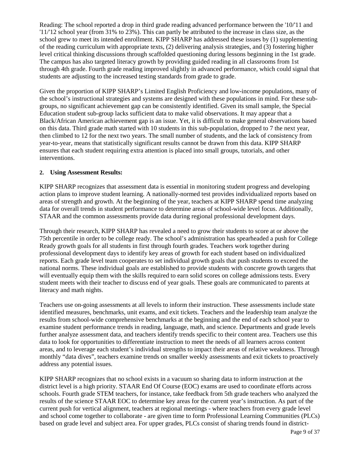Reading: The school reported a drop in third grade reading advanced performance between the '10/'11 and '11/'12 school year (from 31% to 23%). This can partly be attributed to the increase in class size, as the school grew to meet its intended enrollment. KIPP SHARP has addressed these issues by (1) supplementing of the reading curriculum with appropriate texts, (2) delivering analysis strategies, and (3) fostering higher level critical thinking discussions through scaffolded questioning during lessons beginning in the 1st grade. The campus has also targeted literacy growth by providing guided reading in all classrooms from 1st through 4th grade. Fourth grade reading improved slightly in advanced performance, which could signal that students are adjusting to the increased testing standards from grade to grade.

Given the proportion of KIPP SHARP's Limited English Proficiency and low-income populations, many of the school's instructional strategies and systems are designed with these populations in mind. For these subgroups, no significant achievement gap can be consistently identified. Given its small sample, the Special Education student sub-group lacks sufficient data to make valid observations. It may appear that a Black/African American achievement gap is an issue. Yet, it is difficult to make general observations based on this data. Third grade math started with 10 students in this sub-population, dropped to 7 the next year, then climbed to 12 for the next two years. The small number of students, and the lack of consistency from year-to-year, means that statistically significant results cannot be drawn from this data. KIPP SHARP ensures that each student requiring extra attention is placed into small groups, tutorials, and other interventions.

#### **2. Using Assessment Results:**

KIPP SHARP recognizes that assessment data is essential in monitoring student progress and developing action plans to improve student learning. A nationally-normed test provides individualized reports based on areas of strength and growth. At the beginning of the year, teachers at KIPP SHARP spend time analyzing data for overall trends in student performance to determine areas of school-wide level focus. Additionally, STAAR and the common assessments provide data during regional professional development days.

Through their research, KIPP SHARP has revealed a need to grow their students to score at or above the 75th percentile in order to be college ready. The school's administration has spearheaded a push for College Ready growth goals for all students in first through fourth grades. Teachers work together during professional development days to identify key areas of growth for each student based on individualized reports. Each grade level team cooperates to set individual growth goals that push students to exceed the national norms. These individual goals are established to provide students with concrete growth targets that will eventually equip them with the skills required to earn solid scores on college admissions tests. Every student meets with their teacher to discuss end of year goals. These goals are communicated to parents at literacy and math nights.

Teachers use on-going assessments at all levels to inform their instruction. These assessments include state identified measures, benchmarks, unit exams, and exit tickets. Teachers and the leadership team analyze the results from school-wide comprehensive benchmarks at the beginning and the end of each school year to examine student performance trends in reading, language, math, and science. Departments and grade levels further analyze assessment data, and teachers identify trends specific to their content area. Teachers use this data to look for opportunities to differentiate instruction to meet the needs of all learners across content areas, and to leverage each student's individual strengths to impact their areas of relative weakness. Through monthly "data dives", teachers examine trends on smaller weekly assessments and exit tickets to proactively address any potential issues.

KIPP SHARP recognizes that no school exists in a vacuum so sharing data to inform instruction at the district level is a high priority. STAAR End Of Course (EOC) exams are used to coordinate efforts across schools. Fourth grade STEM teachers, for instance, take feedback from 5th grade teachers who analyzed the results of the science STAAR EOC to determine key areas for the current year's instruction. As part of the current push for vertical alignment, teachers at regional meetings - where teachers from every grade level and school come together to collaborate - are given time to form Professional Learning Communities (PLCs) based on grade level and subject area. For upper grades, PLCs consist of sharing trends found in district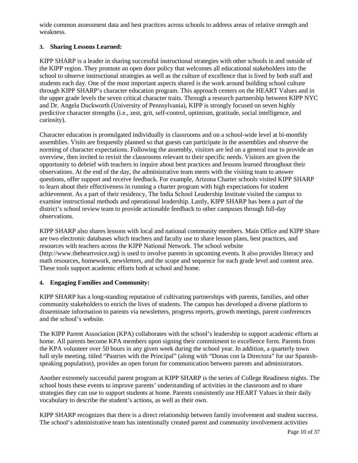wide common assessment data and best practices across schools to address areas of relative strength and weakness.

### **3. Sharing Lessons Learned:**

KIPP SHARP is a leader in sharing successful instructional strategies with other schools in and outside of the KIPP region. They promote an open door policy that welcomes all educational stakeholders into the school to observe instructional strategies as well as the culture of excellence that is lived by both staff and students each day. One of the most important aspects shared is the work around building school culture through KIPP SHARP's character education program. This approach centers on the HEART Values and in the upper grade levels the seven critical character traits. Through a research partnership between KIPP NYC and Dr. Angela Duckworth (University of Pennsylvania), KIPP is strongly focused on seven highly predictive character strengths (i.e., zest, grit, self-control, optimism, gratitude, social intelligence, and curiosity).

Character education is promulgated individually in classrooms and on a school-wide level at bi-monthly assemblies. Visits are frequently planned so that guests can participate in the assemblies and observe the norming of character expectations. Following the assembly, visitors are led on a general tour to provide an overview, then invited to revisit the classrooms relevant to their specific needs. Visitors are given the opportunity to debrief with teachers to inquire about best practices and lessons learned throughout their observations. At the end of the day, the administrative team meets with the visiting team to answer questions, offer support and receive feedback. For example, Arizona Charter schools visited KIPP SHARP to learn about their effectiveness in running a charter program with high expectations for student achievement. As a part of their residency, The India School Leadership Institute visited the campus to examine instructional methods and operational leadership. Lastly, KIPP SHARP has been a part of the district's school review team to provide actionable feedback to other campuses through full-day observations.

KIPP SHARP also shares lessons with local and national community members. Main Office and KIPP Share are two electronic databases which teachers and faculty use to share lesson plans, best practices, and resources with teachers across the KIPP National Network. The school website (http://www.theheartvoice.org) is used to involve parents in upcoming events. It also provides literacy and math resources, homework, newsletters, and the scope and sequence for each grade level and content area. These tools support academic efforts both at school and home.

#### **4. Engaging Families and Community:**

KIPP SHARP has a long-standing reputation of cultivating partnerships with parents, families, and other community stakeholders to enrich the lives of students. The campus has developed a diverse platform to disseminate information to parents via newsletters, progress reports, growth meetings, parent conferences and the school's website.

The KIPP Parent Association (KPA) collaborates with the school's leadership to support academic efforts at home. All parents become KPA members upon signing their commitment to excellence form. Parents from the KPA volunteer over 50 hours in any given week during the school year. In addition, a quarterly town hall style meeting, titled "Pastries with the Principal" (along with "Donas con la Directora" for our Spanishspeaking population), provides an open forum for communication between parents and administrators.

Another extremely successful parent program at KIPP SHARP is the series of College Readiness nights. The school hosts these events to improve parents' understanding of activities in the classroom and to share strategies they can use to support students at home. Parents consistently use HEART Values in their daily vocabulary to describe the student's actions, as well as their own.

KIPP SHARP recognizes that there is a direct relationship between family involvement and student success. The school's administrative team has intentionally created parent and community involvement activities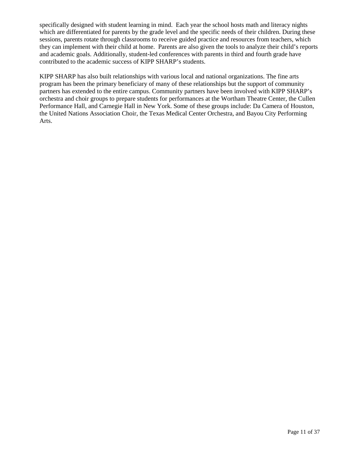specifically designed with student learning in mind. Each year the school hosts math and literacy nights which are differentiated for parents by the grade level and the specific needs of their children. During these sessions, parents rotate through classrooms to receive guided practice and resources from teachers, which they can implement with their child at home. Parents are also given the tools to analyze their child's reports and academic goals. Additionally, student-led conferences with parents in third and fourth grade have contributed to the academic success of KIPP SHARP's students.

KIPP SHARP has also built relationships with various local and national organizations. The fine arts program has been the primary beneficiary of many of these relationships but the support of community partners has extended to the entire campus. Community partners have been involved with KIPP SHARP's orchestra and choir groups to prepare students for performances at the Wortham Theatre Center, the Cullen Performance Hall, and Carnegie Hall in New York. Some of these groups include: Da Camera of Houston, the United Nations Association Choir, the Texas Medical Center Orchestra, and Bayou City Performing Arts.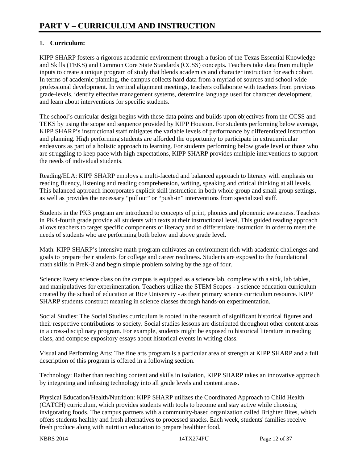### **1. Curriculum:**

KIPP SHARP fosters a rigorous academic environment through a fusion of the Texas Essential Knowledge and Skills (TEKS) and Common Core State Standards (CCSS) concepts. Teachers take data from multiple inputs to create a unique program of study that blends academics and character instruction for each cohort. In terms of academic planning, the campus collects hard data from a myriad of sources and school-wide professional development. In vertical alignment meetings, teachers collaborate with teachers from previous grade-levels, identify effective management systems, determine language used for character development, and learn about interventions for specific students.

The school's curricular design begins with these data points and builds upon objectives from the CCSS and TEKS by using the scope and sequence provided by KIPP Houston. For students performing below average, KIPP SHARP's instructional staff mitigates the variable levels of performance by differentiated instruction and planning. High performing students are afforded the opportunity to participate in extracurricular endeavors as part of a holistic approach to learning. For students performing below grade level or those who are struggling to keep pace with high expectations, KIPP SHARP provides multiple interventions to support the needs of individual students.

Reading/ELA: KIPP SHARP employs a multi-faceted and balanced approach to literacy with emphasis on reading fluency, listening and reading comprehension, writing, speaking and critical thinking at all levels. This balanced approach incorporates explicit skill instruction in both whole group and small group settings, as well as provides the necessary "pullout" or "push-in" interventions from specialized staff.

Students in the PK3 program are introduced to concepts of print, phonics and phonemic awareness. Teachers in PK4-fourth grade provide all students with texts at their instructional level. This guided reading approach allows teachers to target specific components of literacy and to differentiate instruction in order to meet the needs of students who are performing both below and above grade level.

Math: KIPP SHARP's intensive math program cultivates an environment rich with academic challenges and goals to prepare their students for college and career readiness. Students are exposed to the foundational math skills in PreK-3 and begin simple problem solving by the age of four.

Science: Every science class on the campus is equipped as a science lab, complete with a sink, lab tables, and manipulatives for experimentation. Teachers utilize the STEM Scopes - a science education curriculum created by the school of education at Rice University - as their primary science curriculum resource. KIPP SHARP students construct meaning in science classes through hands-on experimentation.

Social Studies: The Social Studies curriculum is rooted in the research of significant historical figures and their respective contributions to society. Social studies lessons are distributed throughout other content areas in a cross-disciplinary program. For example, students might be exposed to historical literature in reading class, and compose expository essays about historical events in writing class.

Visual and Performing Arts: The fine arts program is a particular area of strength at KIPP SHARP and a full description of this program is offered in a following section.

Technology: Rather than teaching content and skills in isolation, KIPP SHARP takes an innovative approach by integrating and infusing technology into all grade levels and content areas.

Physical Education/Health/Nutrition: KIPP SHARP utilizes the Coordinated Approach to Child Health (CATCH) curriculum, which provides students with tools to become and stay active while choosing invigorating foods. The campus partners with a community-based organization called Brighter Bites, which offers students healthy and fresh alternatives to processed snacks. Each week, students' families receive fresh produce along with nutrition education to prepare healthier food.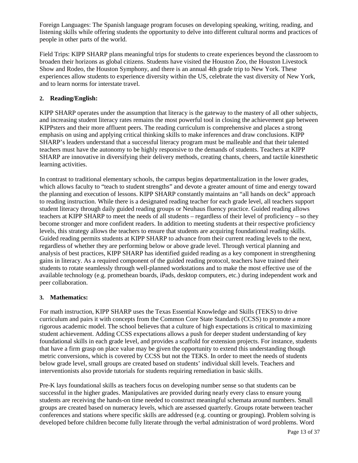Foreign Languages: The Spanish language program focuses on developing speaking, writing, reading, and listening skills while offering students the opportunity to delve into different cultural norms and practices of people in other parts of the world.

Field Trips: KIPP SHARP plans meaningful trips for students to create experiences beyond the classroom to broaden their horizons as global citizens. Students have visited the Houston Zoo, the Houston Livestock Show and Rodeo, the Houston Symphony, and there is an annual 4th grade trip to New York. These experiences allow students to experience diversity within the US, celebrate the vast diversity of New York, and to learn norms for interstate travel.

### **2. Reading/English:**

KIPP SHARP operates under the assumption that literacy is the gateway to the mastery of all other subjects, and increasing student literacy rates remains the most powerful tool in closing the achievement gap between KIPPsters and their more affluent peers. The reading curriculum is comprehensive and places a strong emphasis on using and applying critical thinking skills to make inferences and draw conclusions. KIPP SHARP's leaders understand that a successful literacy program must be malleable and that their talented teachers must have the autonomy to be highly responsive to the demands of students. Teachers at KIPP SHARP are innovative in diversifying their delivery methods, creating chants, cheers, and tactile kinesthetic learning activities.

In contrast to traditional elementary schools, the campus begins departmentalization in the lower grades, which allows faculty to "teach to student strengths" and devote a greater amount of time and energy toward the planning and execution of lessons. KIPP SHARP constantly maintains an "all hands on deck" approach to reading instruction. While there is a designated reading teacher for each grade level, all teachers support student literacy through daily guided reading groups or Neuhaus fluency practice. Guided reading allows teachers at KIPP SHARP to meet the needs of all students – regardless of their level of proficiency – so they become stronger and more confident readers. In addition to meeting students at their respective proficiency levels, this strategy allows the teachers to ensure that students are acquiring foundational reading skills. Guided reading permits students at KIPP SHARP to advance from their current reading levels to the next, regardless of whether they are performing below or above grade level. Through vertical planning and analysis of best practices, KIPP SHARP has identified guided reading as a key component in strengthening gains in literacy. As a required component of the guided reading protocol, teachers have trained their students to rotate seamlessly through well-planned workstations and to make the most effective use of the available technology (e.g. promethean boards, iPads, desktop computers, etc.) during independent work and peer collaboration.

### **3. Mathematics:**

For math instruction, KIPP SHARP uses the Texas Essential Knowledge and Skills (TEKS) to drive curriculum and pairs it with concepts from the Common Core State Standards (CCSS) to promote a more rigorous academic model. The school believes that a culture of high expectations is critical to maximizing student achievement. Adding CCSS expectations allows a push for deeper student understanding of key foundational skills in each grade level, and provides a scaffold for extension projects. For instance, students that have a firm grasp on place value may be given the opportunity to extend this understanding though metric conversions, which is covered by CCSS but not the TEKS. In order to meet the needs of students below grade level, small groups are created based on students' individual skill levels. Teachers and interventionists also provide tutorials for students requiring remediation in basic skills.

Pre-K lays foundational skills as teachers focus on developing number sense so that students can be successful in the higher grades. Manipulatives are provided during nearly every class to ensure young students are receiving the hands-on time needed to construct meaningful schemata around numbers. Small groups are created based on numeracy levels, which are assessed quarterly. Groups rotate between teacher conferences and stations where specific skills are addressed (e.g. counting or grouping). Problem solving is developed before children become fully literate through the verbal administration of word problems. Word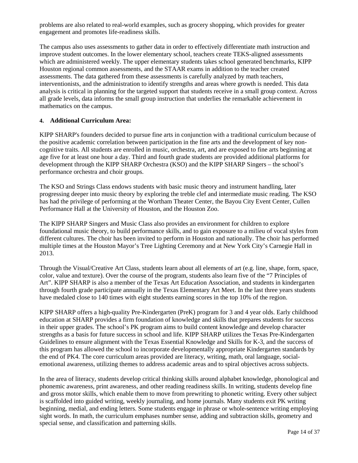problems are also related to real-world examples, such as grocery shopping, which provides for greater engagement and promotes life-readiness skills.

The campus also uses assessments to gather data in order to effectively differentiate math instruction and improve student outcomes. In the lower elementary school, teachers create TEKS-aligned assessments which are administered weekly. The upper elementary students takes school generated benchmarks, KIPP Houston regional common assessments, and the STAAR exams in addition to the teacher created assessments. The data gathered from these assessments is carefully analyzed by math teachers, interventionists, and the administration to identify strengths and areas where growth is needed. This data analysis is critical in planning for the targeted support that students receive in a small group context. Across all grade levels, data informs the small group instruction that underlies the remarkable achievement in mathematics on the campus.

#### **4. Additional Curriculum Area:**

KIPP SHARP's founders decided to pursue fine arts in conjunction with a traditional curriculum because of the positive academic correlation between participation in the fine arts and the development of key noncognitive traits. All students are enrolled in music, orchestra, art, and are exposed to fine arts beginning at age five for at least one hour a day. Third and fourth grade students are provided additional platforms for development through the KIPP SHARP Orchestra (KSO) and the KIPP SHARP Singers – the school's performance orchestra and choir groups.

The KSO and Strings Class endows students with basic music theory and instrument handling, later progressing deeper into music theory by exploring the treble clef and intermediate music reading. The KSO has had the privilege of performing at the Wortham Theater Center, the Bayou City Event Center, Cullen Performance Hall at the University of Houston, and the Houston Zoo.

The KIPP SHARP Singers and Music Class also provides an environment for children to explore foundational music theory, to build performance skills, and to gain exposure to a milieu of vocal styles from different cultures. The choir has been invited to perform in Houston and nationally. The choir has performed multiple times at the Houston Mayor's Tree Lighting Ceremony and at New York City's Carnegie Hall in 2013.

Through the Visual/Creative Art Class, students learn about all elements of art (e.g. line, shape, form, space, color, value and texture). Over the course of the program, students also learn five of the "7 Principles of Art". KIPP SHARP is also a member of the Texas Art Education Association, and students in kindergarten through fourth grade participate annually in the Texas Elementary Art Meet. In the last three years students have medaled close to 140 times with eight students earning scores in the top 10% of the region.

KIPP SHARP offers a high-quality Pre-Kindergarten (PreK) program for 3 and 4 year olds. Early childhood education at SHARP provides a firm foundation of knowledge and skills that prepares students for success in their upper grades. The school's PK program aims to build content knowledge and develop character strengths as a basis for future success in school and life. KIPP SHARP utilizes the Texas Pre-Kindergarten Guidelines to ensure alignment with the Texas Essential Knowledge and Skills for K-3, and the success of this program has allowed the school to incorporate developmentally appropriate Kindergarten standards by the end of PK4. The core curriculum areas provided are literacy, writing, math, oral language, socialemotional awareness, utilizing themes to address academic areas and to spiral objectives across subjects.

In the area of literacy, students develop critical thinking skills around alphabet knowledge, phonological and phonemic awareness, print awareness, and other reading readiness skills. In writing, students develop fine and gross motor skills, which enable them to move from prewriting to phonetic writing. Every other subject is scaffolded into guided writing, weekly journaling, and home journals. Many students exit PK writing beginning, medial, and ending letters. Some students engage in phrase or whole-sentence writing employing sight words. In math, the curriculum emphases number sense, adding and subtraction skills, geometry and special sense, and classification and patterning skills.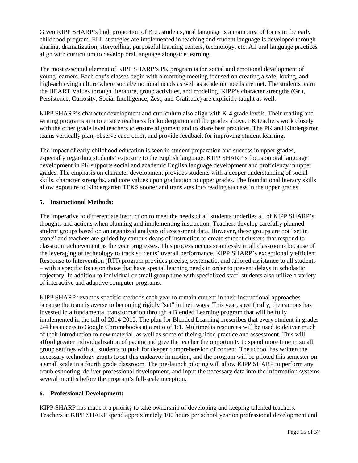Given KIPP SHARP's high proportion of ELL students, oral language is a main area of focus in the early childhood program. ELL strategies are implemented in teaching and student language is developed through sharing, dramatization, storytelling, purposeful learning centers, technology, etc. All oral language practices align with curriculum to develop oral language alongside learning.

The most essential element of KIPP SHARP's PK program is the social and emotional development of young learners. Each day's classes begin with a morning meeting focused on creating a safe, loving, and high-achieving culture where social/emotional needs as well as academic needs are met. The students learn the HEART Values through literature, group activities, and modeling. KIPP's character strengths (Grit, Persistence, Curiosity, Social Intelligence, Zest, and Gratitude) are explicitly taught as well.

KIPP SHARP's character development and curriculum also align with K-4 grade levels. Their reading and writing programs aim to ensure readiness for kindergarten and the grades above. PK teachers work closely with the other grade level teachers to ensure alignment and to share best practices. The PK and Kindergarten teams vertically plan, observe each other, and provide feedback for improving student learning.

The impact of early childhood education is seen in student preparation and success in upper grades, especially regarding students' exposure to the English language. KIPP SHARP's focus on oral language development in PK supports social and academic English language development and proficiency in upper grades. The emphasis on character development provides students with a deeper understanding of social skills, character strengths, and core values upon graduation to upper grades. The foundational literacy skills allow exposure to Kindergarten TEKS sooner and translates into reading success in the upper grades.

#### **5. Instructional Methods:**

The imperative to differentiate instruction to meet the needs of all students underlies all of KIPP SHARP's thoughts and actions when planning and implementing instruction. Teachers develop carefully planned student groups based on an organized analysis of assessment data. However, these groups are not "set in stone" and teachers are guided by campus deans of instruction to create student clusters that respond to classroom achievement as the year progresses. This process occurs seamlessly in all classrooms because of the leveraging of technology to track students' overall performance. KIPP SHARP's exceptionally efficient Response to Intervention (RTI) program provides precise, systematic, and tailored assistance to all students – with a specific focus on those that have special learning needs in order to prevent delays in scholastic trajectory. In addition to individual or small group time with specialized staff, students also utilize a variety of interactive and adaptive computer programs.

KIPP SHARP revamps specific methods each year to remain current in their instructional approaches because the team is averse to becoming rigidly "set" in their ways. This year, specifically, the campus has invested in a fundamental transformation through a Blended Learning program that will be fully implemented in the fall of 2014-2015. The plan for Blended Learning prescribes that every student in grades 2-4 has access to Google Chromebooks at a ratio of 1:1. Multimedia resources will be used to deliver much of their introduction to new material, as well as some of their guided practice and assessment. This will afford greater individualization of pacing and give the teacher the opportunity to spend more time in small group settings with all students to push for deeper comprehension of content. The school has written the necessary technology grants to set this endeavor in motion, and the program will be piloted this semester on a small scale in a fourth grade classroom. The pre-launch piloting will allow KIPP SHARP to perform any troubleshooting, deliver professional development, and input the necessary data into the information systems several months before the program's full-scale inception.

#### **6. Professional Development:**

KIPP SHARP has made it a priority to take ownership of developing and keeping talented teachers. Teachers at KIPP SHARP spend approximately 100 hours per school year on professional development and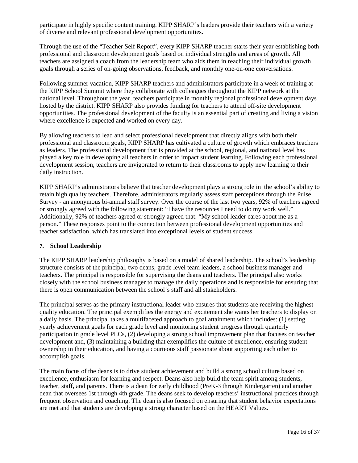participate in highly specific content training. KIPP SHARP's leaders provide their teachers with a variety of diverse and relevant professional development opportunities.

Through the use of the "Teacher Self Report", every KIPP SHARP teacher starts their year establishing both professional and classroom development goals based on individual strengths and areas of growth. All teachers are assigned a coach from the leadership team who aids them in reaching their individual growth goals through a series of on-going observations, feedback, and monthly one-on-one conversations.

Following summer vacation, KIPP SHARP teachers and administrators participate in a week of training at the KIPP School Summit where they collaborate with colleagues throughout the KIPP network at the national level. Throughout the year, teachers participate in monthly regional professional development days hosted by the district. KIPP SHARP also provides funding for teachers to attend off-site development opportunities. The professional development of the faculty is an essential part of creating and living a vision where excellence is expected and worked on every day.

By allowing teachers to lead and select professional development that directly aligns with both their professional and classroom goals, KIPP SHARP has cultivated a culture of growth which embraces teachers as leaders. The professional development that is provided at the school, regional, and national level has played a key role in developing all teachers in order to impact student learning. Following each professional development session, teachers are invigorated to return to their classrooms to apply new learning to their daily instruction.

KIPP SHARP's administrators believe that teacher development plays a strong role in the school's ability to retain high quality teachers. Therefore, administrators regularly assess staff perceptions through the Pulse Survey - an anonymous bi-annual staff survey. Over the course of the last two years, 92% of teachers agreed or strongly agreed with the following statement: "I have the resources I need to do my work well." Additionally, 92% of teachers agreed or strongly agreed that: "My school leader cares about me as a person." These responses point to the connection between professional development opportunities and teacher satisfaction, which has translated into exceptional levels of student success.

#### **7. School Leadership**

The KIPP SHARP leadership philosophy is based on a model of shared leadership. The school's leadership structure consists of the principal, two deans, grade level team leaders, a school business manager and teachers. The principal is responsible for supervising the deans and teachers. The principal also works closely with the school business manager to manage the daily operations and is responsible for ensuring that there is open communication between the school's staff and all stakeholders.

The principal serves as the primary instructional leader who ensures that students are receiving the highest quality education. The principal exemplifies the energy and excitement she wants her teachers to display on a daily basis. The principal takes a multifaceted approach to goal attainment which includes: (1) setting yearly achievement goals for each grade level and monitoring student progress through quarterly participation in grade level PLCs, (2) developing a strong school improvement plan that focuses on teacher development and, (3) maintaining a building that exemplifies the culture of excellence, ensuring student ownership in their education, and having a courteous staff passionate about supporting each other to accomplish goals.

The main focus of the deans is to drive student achievement and build a strong school culture based on excellence, enthusiasm for learning and respect. Deans also help build the team spirit among students, teacher, staff, and parents. There is a dean for early childhood (PreK-3 through Kindergarten) and another dean that oversees 1st through 4th grade. The deans seek to develop teachers' instructional practices through frequent observation and coaching. The dean is also focused on ensuring that student behavior expectations are met and that students are developing a strong character based on the HEART Values.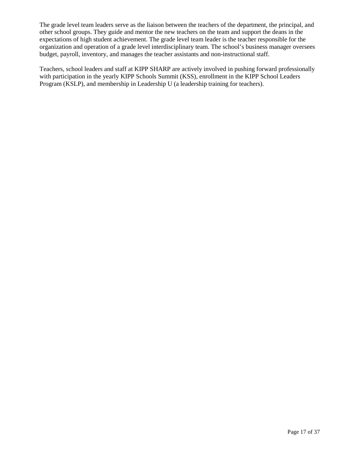The grade level team leaders serve as the liaison between the teachers of the department, the principal, and other school groups. They guide and mentor the new teachers on the team and support the deans in the expectations of high student achievement. The grade level team leader is the teacher responsible for the organization and operation of a grade level interdisciplinary team. The school's business manager oversees budget, payroll, inventory, and manages the teacher assistants and non-instructional staff.

Teachers, school leaders and staff at KIPP SHARP are actively involved in pushing forward professionally with participation in the yearly KIPP Schools Summit (KSS), enrollment in the KIPP School Leaders Program (KSLP), and membership in Leadership U (a leadership training for teachers).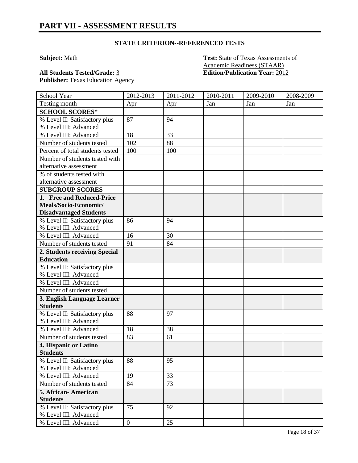**Subject:** Math **Test:** State of Texas Assessments of Academic Readiness (STAAR) **All Students Tested/Grade:** 3 **Edition/Publication Year:** 2012

Publisher: Texas Education Agency

| School Year                                       | 2012-2013        | 2011-2012 | 2010-2011 | 2009-2010 | 2008-2009 |
|---------------------------------------------------|------------------|-----------|-----------|-----------|-----------|
| Testing month                                     | Apr              | Apr       | Jan       | Jan       | Jan       |
| <b>SCHOOL SCORES*</b>                             |                  |           |           |           |           |
| % Level II: Satisfactory plus                     | 87               | 94        |           |           |           |
| % Level III: Advanced                             |                  |           |           |           |           |
| % Level III: Advanced                             | 18               | 33        |           |           |           |
| Number of students tested                         | 102              | 88        |           |           |           |
| Percent of total students tested                  | 100              | 100       |           |           |           |
| Number of students tested with                    |                  |           |           |           |           |
| alternative assessment                            |                  |           |           |           |           |
| % of students tested with                         |                  |           |           |           |           |
| alternative assessment                            |                  |           |           |           |           |
| <b>SUBGROUP SCORES</b>                            |                  |           |           |           |           |
| 1. Free and Reduced-Price                         |                  |           |           |           |           |
| Meals/Socio-Economic/                             |                  |           |           |           |           |
| <b>Disadvantaged Students</b>                     |                  |           |           |           |           |
| % Level II: Satisfactory plus                     | 86               | 94        |           |           |           |
| % Level III: Advanced                             |                  |           |           |           |           |
| % Level III: Advanced                             | 16               | 30        |           |           |           |
| Number of students tested                         | 91               | 84        |           |           |           |
| 2. Students receiving Special                     |                  |           |           |           |           |
| <b>Education</b><br>% Level II: Satisfactory plus |                  |           |           |           |           |
| % Level III: Advanced                             |                  |           |           |           |           |
| % Level III: Advanced                             |                  |           |           |           |           |
| Number of students tested                         |                  |           |           |           |           |
| 3. English Language Learner                       |                  |           |           |           |           |
| <b>Students</b>                                   |                  |           |           |           |           |
| % Level II: Satisfactory plus                     | 88               | 97        |           |           |           |
| % Level III: Advanced                             |                  |           |           |           |           |
| % Level III: Advanced                             | 18               | 38        |           |           |           |
| Number of students tested                         | 83               | 61        |           |           |           |
| 4. Hispanic or Latino                             |                  |           |           |           |           |
| <b>Students</b>                                   |                  |           |           |           |           |
| % Level II: Satisfactory plus                     | 88               | 95        |           |           |           |
| % Level III: Advanced                             |                  |           |           |           |           |
| % Level III: Advanced                             | 19               | 33        |           |           |           |
| Number of students tested                         | 84               | 73        |           |           |           |
| 5. African-American                               |                  |           |           |           |           |
| <b>Students</b>                                   |                  |           |           |           |           |
| % Level II: Satisfactory plus                     | 75               | 92        |           |           |           |
| % Level III: Advanced                             |                  |           |           |           |           |
| % Level III: Advanced                             | $\boldsymbol{0}$ | 25        |           |           |           |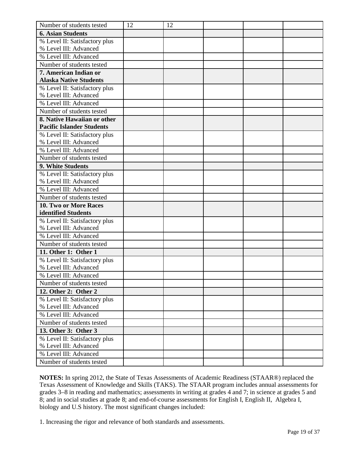| Number of students tested                              | 12 | 12 |  |  |
|--------------------------------------------------------|----|----|--|--|
| <b>6. Asian Students</b>                               |    |    |  |  |
| % Level II: Satisfactory plus                          |    |    |  |  |
| % Level III: Advanced                                  |    |    |  |  |
| % Level III: Advanced                                  |    |    |  |  |
| Number of students tested                              |    |    |  |  |
| 7. American Indian or                                  |    |    |  |  |
| <b>Alaska Native Students</b>                          |    |    |  |  |
| % Level II: Satisfactory plus                          |    |    |  |  |
| % Level III: Advanced                                  |    |    |  |  |
| % Level III: Advanced                                  |    |    |  |  |
| Number of students tested                              |    |    |  |  |
| 8. Native Hawaiian or other                            |    |    |  |  |
| <b>Pacific Islander Students</b>                       |    |    |  |  |
| % Level II: Satisfactory plus                          |    |    |  |  |
| % Level III: Advanced                                  |    |    |  |  |
| % Level III: Advanced                                  |    |    |  |  |
| Number of students tested                              |    |    |  |  |
| 9. White Students                                      |    |    |  |  |
| % Level II: Satisfactory plus<br>% Level III: Advanced |    |    |  |  |
| % Level III: Advanced                                  |    |    |  |  |
| Number of students tested                              |    |    |  |  |
| <b>10. Two or More Races</b>                           |    |    |  |  |
| identified Students                                    |    |    |  |  |
| % Level II: Satisfactory plus                          |    |    |  |  |
| % Level III: Advanced                                  |    |    |  |  |
| % Level III: Advanced                                  |    |    |  |  |
| Number of students tested                              |    |    |  |  |
| 11. Other 1: Other 1                                   |    |    |  |  |
| % Level II: Satisfactory plus                          |    |    |  |  |
| % Level III: Advanced                                  |    |    |  |  |
| % Level III: Advanced                                  |    |    |  |  |
| Number of students tested                              |    |    |  |  |
| 12. Other 2: Other 2                                   |    |    |  |  |
| % Level II: Satisfactory plus                          |    |    |  |  |
| % Level III: Advanced                                  |    |    |  |  |
| % Level III: Advanced                                  |    |    |  |  |
| Number of students tested                              |    |    |  |  |
| 13. Other 3: Other 3                                   |    |    |  |  |
| % Level II: Satisfactory plus                          |    |    |  |  |
| % Level III: Advanced                                  |    |    |  |  |
| % Level III: Advanced                                  |    |    |  |  |
| Number of students tested                              |    |    |  |  |

**NOTES:** In spring 2012, the State of Texas Assessments of Academic Readiness (STAAR®) replaced the Texas Assessment of Knowledge and Skills (TAKS). The STAAR program includes annual assessments for grades 3–8 in reading and mathematics; assessments in writing at grades 4 and 7; in science at grades 5 and 8; and in social studies at grade 8; and end-of-course assessments for English I, English II, Algebra I, biology and U.S history. The most significant changes included:

1. Increasing the rigor and relevance of both standards and assessments.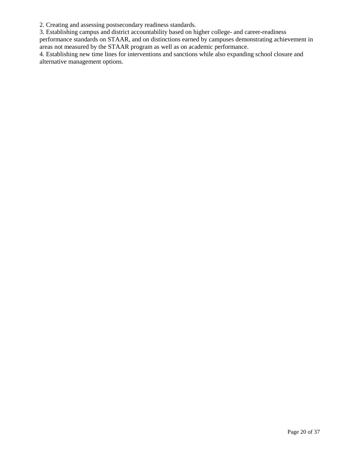2. Creating and assessing postsecondary readiness standards.

3. Establishing campus and district accountability based on higher college- and career-readiness

performance standards on STAAR, and on distinctions earned by campuses demonstrating achievement in areas not measured by the STAAR program as well as on academic performance.

4. Establishing new time lines for interventions and sanctions while also expanding school closure and alternative management options.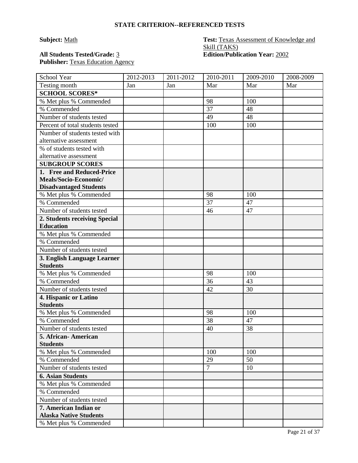### **Subject:** Math **Test: Texas Assessment of Knowledge and** Skill (TAKS) **All Students Tested/Grade:** 3 **Edition/Publication Year:** 2002

Publisher: Texas Education Agency

| School Year                                       | 2012-2013 | 2011-2012 | $2010 - 2011$   | 2009-2010 | 2008-2009 |
|---------------------------------------------------|-----------|-----------|-----------------|-----------|-----------|
| Testing month                                     | Jan       | Jan       | Mar             | Mar       | Mar       |
| <b>SCHOOL SCORES*</b>                             |           |           |                 |           |           |
| % Met plus % Commended                            |           |           | 98              | 100       |           |
| % Commended                                       |           |           | $\overline{37}$ | 48        |           |
| Number of students tested                         |           |           | 49              | 48        |           |
| Percent of total students tested                  |           |           | 100             | 100       |           |
| Number of students tested with                    |           |           |                 |           |           |
| alternative assessment                            |           |           |                 |           |           |
| % of students tested with                         |           |           |                 |           |           |
| alternative assessment                            |           |           |                 |           |           |
| <b>SUBGROUP SCORES</b>                            |           |           |                 |           |           |
| 1. Free and Reduced-Price                         |           |           |                 |           |           |
| Meals/Socio-Economic/                             |           |           |                 |           |           |
| <b>Disadvantaged Students</b>                     |           |           | 98              | 100       |           |
| % Met plus % Commended<br>% Commended             |           |           | 37              | 47        |           |
| Number of students tested                         |           |           | 46              | 47        |           |
|                                                   |           |           |                 |           |           |
| 2. Students receiving Special<br><b>Education</b> |           |           |                 |           |           |
| % Met plus % Commended                            |           |           |                 |           |           |
| % Commended                                       |           |           |                 |           |           |
| Number of students tested                         |           |           |                 |           |           |
| 3. English Language Learner                       |           |           |                 |           |           |
| <b>Students</b>                                   |           |           |                 |           |           |
| % Met plus % Commended                            |           |           | 98              | 100       |           |
| % Commended                                       |           |           | 36              | 43        |           |
| Number of students tested                         |           |           | 42              | 30        |           |
| 4. Hispanic or Latino                             |           |           |                 |           |           |
| <b>Students</b>                                   |           |           |                 |           |           |
| % Met plus % Commended                            |           |           | 98              | 100       |           |
| % Commended                                       |           |           | 38              | 47        |           |
| Number of students tested                         |           |           | 40              | 38        |           |
| 5. African-American                               |           |           |                 |           |           |
| <b>Students</b>                                   |           |           |                 |           |           |
| % Met plus % Commended                            |           |           | 100             | 100       |           |
| % Commended                                       |           |           | 29              | 50        |           |
| Number of students tested                         |           |           | $\overline{7}$  | 10        |           |
| <b>6. Asian Students</b>                          |           |           |                 |           |           |
| % Met plus % Commended                            |           |           |                 |           |           |
| % Commended                                       |           |           |                 |           |           |
| Number of students tested                         |           |           |                 |           |           |
| 7. American Indian or                             |           |           |                 |           |           |
| <b>Alaska Native Students</b>                     |           |           |                 |           |           |
| % Met plus % Commended                            |           |           |                 |           |           |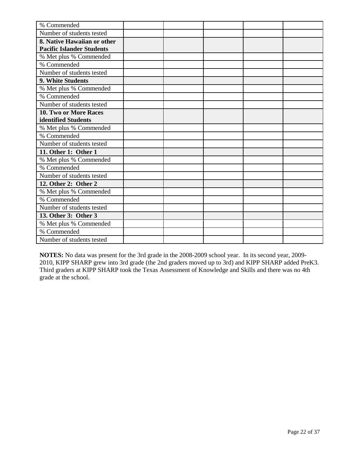| % Commended                      |  |  |  |
|----------------------------------|--|--|--|
| Number of students tested        |  |  |  |
| 8. Native Hawaiian or other      |  |  |  |
| <b>Pacific Islander Students</b> |  |  |  |
| % Met plus % Commended           |  |  |  |
| % Commended                      |  |  |  |
| Number of students tested        |  |  |  |
| 9. White Students                |  |  |  |
| % Met plus % Commended           |  |  |  |
| % Commended                      |  |  |  |
| Number of students tested        |  |  |  |
| 10. Two or More Races            |  |  |  |
| identified Students              |  |  |  |
| % Met plus % Commended           |  |  |  |
| % Commended                      |  |  |  |
| Number of students tested        |  |  |  |
| 11. Other 1: Other 1             |  |  |  |
| % Met plus % Commended           |  |  |  |
| % Commended                      |  |  |  |
| Number of students tested        |  |  |  |
| 12. Other 2: Other 2             |  |  |  |
| % Met plus % Commended           |  |  |  |
| % Commended                      |  |  |  |
| Number of students tested        |  |  |  |
| 13. Other 3: Other 3             |  |  |  |
| % Met plus % Commended           |  |  |  |
| % Commended                      |  |  |  |
| Number of students tested        |  |  |  |

**NOTES:** No data was present for the 3rd grade in the 2008-2009 school year. In its second year, 2009- 2010, KIPP SHARP grew into 3rd grade (the 2nd graders moved up to 3rd) and KIPP SHARP added PreK3. Third graders at KIPP SHARP took the Texas Assessment of Knowledge and Skills and there was no 4th grade at the school.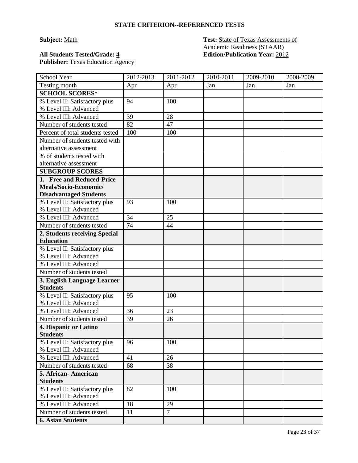**Subject:** Math **Test:** State of Texas Assessments of Academic Readiness (STAAR) **All Students Tested/Grade:** 4 **Edition/Publication Year:** 2012

# Publisher: Texas Education Agency

| School Year                      | 2012-2013 | 2011-2012      | 2010-2011 | 2009-2010 | 2008-2009 |
|----------------------------------|-----------|----------------|-----------|-----------|-----------|
| Testing month                    | Apr       | Apr            | Jan       | Jan       | Jan       |
| <b>SCHOOL SCORES*</b>            |           |                |           |           |           |
| % Level II: Satisfactory plus    | 94        | 100            |           |           |           |
| % Level III: Advanced            |           |                |           |           |           |
| % Level III: Advanced            | 39        | 28             |           |           |           |
| Number of students tested        | 82        | 47             |           |           |           |
| Percent of total students tested | 100       | 100            |           |           |           |
| Number of students tested with   |           |                |           |           |           |
| alternative assessment           |           |                |           |           |           |
| % of students tested with        |           |                |           |           |           |
| alternative assessment           |           |                |           |           |           |
| <b>SUBGROUP SCORES</b>           |           |                |           |           |           |
| 1. Free and Reduced-Price        |           |                |           |           |           |
| Meals/Socio-Economic/            |           |                |           |           |           |
| <b>Disadvantaged Students</b>    |           |                |           |           |           |
| % Level II: Satisfactory plus    | 93        | 100            |           |           |           |
| % Level III: Advanced            |           |                |           |           |           |
| % Level III: Advanced            | 34        | 25             |           |           |           |
| Number of students tested        | 74        | 44             |           |           |           |
| 2. Students receiving Special    |           |                |           |           |           |
| <b>Education</b>                 |           |                |           |           |           |
| % Level II: Satisfactory plus    |           |                |           |           |           |
| % Level III: Advanced            |           |                |           |           |           |
| % Level III: Advanced            |           |                |           |           |           |
| Number of students tested        |           |                |           |           |           |
| 3. English Language Learner      |           |                |           |           |           |
| <b>Students</b>                  |           |                |           |           |           |
| % Level II: Satisfactory plus    | 95        | 100            |           |           |           |
| % Level III: Advanced            |           |                |           |           |           |
| % Level III: Advanced            | 36        | 23             |           |           |           |
| Number of students tested        | 39        | 26             |           |           |           |
| 4. Hispanic or Latino            |           |                |           |           |           |
| <b>Students</b>                  |           |                |           |           |           |
| % Level II: Satisfactory plus    | 96        | 100            |           |           |           |
| % Level III: Advanced            |           |                |           |           |           |
| % Level III: Advanced            | 41        | 26             |           |           |           |
| Number of students tested        | 68        | 38             |           |           |           |
| 5. African-American              |           |                |           |           |           |
| <b>Students</b>                  |           |                |           |           |           |
| % Level II: Satisfactory plus    | 82        | 100            |           |           |           |
| % Level III: Advanced            |           |                |           |           |           |
| % Level III: Advanced            | 18        | 29             |           |           |           |
| Number of students tested        | 11        | $\overline{7}$ |           |           |           |
| <b>6. Asian Students</b>         |           |                |           |           |           |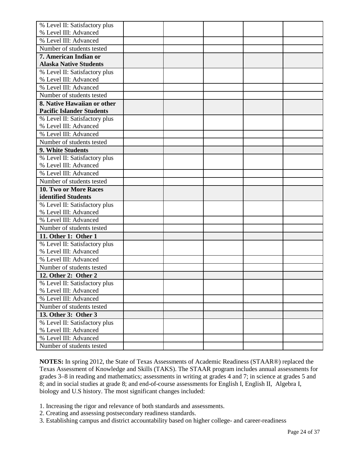| % Level II: Satisfactory plus                      |  |  |  |
|----------------------------------------------------|--|--|--|
| % Level III: Advanced                              |  |  |  |
| % Level III: Advanced                              |  |  |  |
| Number of students tested                          |  |  |  |
| 7. American Indian or                              |  |  |  |
| <b>Alaska Native Students</b>                      |  |  |  |
| % Level II: Satisfactory plus                      |  |  |  |
| % Level III: Advanced                              |  |  |  |
| % Level III: Advanced                              |  |  |  |
| Number of students tested                          |  |  |  |
| 8. Native Hawaiian or other                        |  |  |  |
| <b>Pacific Islander Students</b>                   |  |  |  |
| % Level II: Satisfactory plus                      |  |  |  |
| % Level III: Advanced                              |  |  |  |
| % Level III: Advanced                              |  |  |  |
| Number of students tested                          |  |  |  |
| 9. White Students                                  |  |  |  |
| % Level II: Satisfactory plus                      |  |  |  |
| % Level III: Advanced                              |  |  |  |
| % Level III: Advanced                              |  |  |  |
| Number of students tested                          |  |  |  |
| 10. Two or More Races                              |  |  |  |
|                                                    |  |  |  |
| identified Students                                |  |  |  |
| % Level II: Satisfactory plus                      |  |  |  |
| % Level III: Advanced                              |  |  |  |
| % Level III: Advanced                              |  |  |  |
| Number of students tested                          |  |  |  |
| 11. Other 1: Other 1                               |  |  |  |
| % Level II: Satisfactory plus                      |  |  |  |
| % Level III: Advanced                              |  |  |  |
| % Level III: Advanced                              |  |  |  |
| Number of students tested                          |  |  |  |
| 12. Other 2: Other 2                               |  |  |  |
| % Level II: Satisfactory plus                      |  |  |  |
| % Level III: Advanced                              |  |  |  |
| % Level III: Advanced                              |  |  |  |
| Number of students tested                          |  |  |  |
| 13. Other 3: Other 3                               |  |  |  |
| % Level II: Satisfactory plus                      |  |  |  |
| % Level III: Advanced                              |  |  |  |
| % Level III: Advanced<br>Number of students tested |  |  |  |

**NOTES:** In spring 2012, the State of Texas Assessments of Academic Readiness (STAAR®) replaced the Texas Assessment of Knowledge and Skills (TAKS). The STAAR program includes annual assessments for grades 3–8 in reading and mathematics; assessments in writing at grades 4 and 7; in science at grades 5 and 8; and in social studies at grade 8; and end-of-course assessments for English I, English II, Algebra I, biology and U.S history. The most significant changes included:

- 1. Increasing the rigor and relevance of both standards and assessments.
- 2. Creating and assessing postsecondary readiness standards.
- 3. Establishing campus and district accountability based on higher college- and career-readiness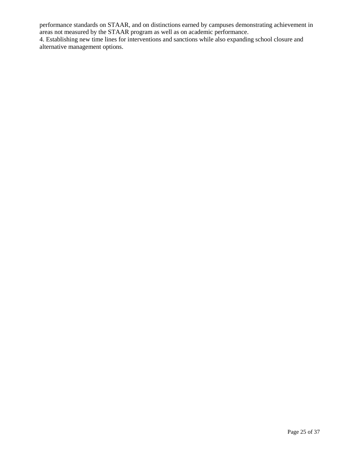performance standards on STAAR, and on distinctions earned by campuses demonstrating achievement in areas not measured by the STAAR program as well as on academic performance.

4. Establishing new time lines for interventions and sanctions while also expanding school closure and alternative management options.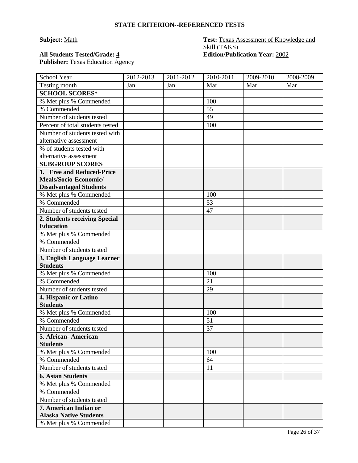### **Subject:** Math **Test: Texas Assessment of Knowledge and** Skill (TAKS) **All Students Tested/Grade:**  $\frac{4}{5}$  **Edition/Publication Year:**  $\frac{2002}{5}$

Publisher: Texas Education Agency

| School Year                                            | 2012-2013 | 2011-2012 | 2010-2011 | 2009-2010 | 2008-2009 |
|--------------------------------------------------------|-----------|-----------|-----------|-----------|-----------|
| Testing month                                          | Jan       | Jan       | Mar       | Mar       | Mar       |
| <b>SCHOOL SCORES*</b>                                  |           |           |           |           |           |
| % Met plus % Commended                                 |           |           | 100       |           |           |
| % Commended                                            |           |           | 55        |           |           |
| Number of students tested                              |           |           | 49        |           |           |
| Percent of total students tested                       |           |           | 100       |           |           |
| Number of students tested with                         |           |           |           |           |           |
| alternative assessment                                 |           |           |           |           |           |
| % of students tested with                              |           |           |           |           |           |
| alternative assessment                                 |           |           |           |           |           |
| <b>SUBGROUP SCORES</b>                                 |           |           |           |           |           |
| 1. Free and Reduced-Price                              |           |           |           |           |           |
| Meals/Socio-Economic/                                  |           |           |           |           |           |
| <b>Disadvantaged Students</b>                          |           |           |           |           |           |
| % Met plus % Commended                                 |           |           | 100       |           |           |
| % Commended                                            |           |           | 53        |           |           |
| Number of students tested                              |           |           | 47        |           |           |
| 2. Students receiving Special                          |           |           |           |           |           |
| <b>Education</b>                                       |           |           |           |           |           |
| % Met plus % Commended                                 |           |           |           |           |           |
| % Commended                                            |           |           |           |           |           |
| Number of students tested                              |           |           |           |           |           |
| 3. English Language Learner                            |           |           |           |           |           |
| <b>Students</b>                                        |           |           |           |           |           |
| % Met plus % Commended                                 |           |           | 100       |           |           |
| % Commended                                            |           |           | 21        |           |           |
| Number of students tested                              |           |           | 29        |           |           |
| 4. Hispanic or Latino                                  |           |           |           |           |           |
| <b>Students</b>                                        |           |           |           |           |           |
| % Met plus % Commended                                 |           |           | 100       |           |           |
| % Commended                                            |           |           | 51        |           |           |
| Number of students tested                              |           |           | 37        |           |           |
| 5. African- American                                   |           |           |           |           |           |
| <b>Students</b><br>% Met plus % Commended              |           |           | 100       |           |           |
| % Commended                                            |           |           |           |           |           |
| Number of students tested                              |           |           | 64        |           |           |
|                                                        |           |           | 11        |           |           |
| <b>6. Asian Students</b>                               |           |           |           |           |           |
| % Met plus % Commended                                 |           |           |           |           |           |
| % Commended                                            |           |           |           |           |           |
| Number of students tested                              |           |           |           |           |           |
| 7. American Indian or<br><b>Alaska Native Students</b> |           |           |           |           |           |
| % Met plus % Commended                                 |           |           |           |           |           |
|                                                        |           |           |           |           |           |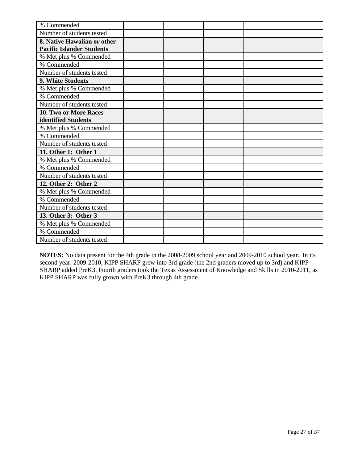| % Commended                      |  |  |  |
|----------------------------------|--|--|--|
| Number of students tested        |  |  |  |
| 8. Native Hawaiian or other      |  |  |  |
| <b>Pacific Islander Students</b> |  |  |  |
| % Met plus % Commended           |  |  |  |
| % Commended                      |  |  |  |
| Number of students tested        |  |  |  |
| 9. White Students                |  |  |  |
| % Met plus % Commended           |  |  |  |
| % Commended                      |  |  |  |
| Number of students tested        |  |  |  |
| <b>10. Two or More Races</b>     |  |  |  |
| identified Students              |  |  |  |
| % Met plus % Commended           |  |  |  |
| % Commended                      |  |  |  |
| Number of students tested        |  |  |  |
| 11. Other 1: Other 1             |  |  |  |
| % Met plus % Commended           |  |  |  |
| % Commended                      |  |  |  |
| Number of students tested        |  |  |  |
| 12. Other 2: Other 2             |  |  |  |
| % Met plus % Commended           |  |  |  |
| % Commended                      |  |  |  |
| Number of students tested        |  |  |  |
| 13. Other 3: Other 3             |  |  |  |
| % Met plus % Commended           |  |  |  |
| % Commended                      |  |  |  |
| Number of students tested        |  |  |  |

**NOTES:** No data present for the 4th grade in the 2008-2009 school year and 2009-2010 school year. In its second year, 2009-2010, KIPP SHARP grew into 3rd grade (the 2nd graders moved up to 3rd) and KIPP SHARP added PreK3. Fourth graders took the Texas Assessment of Knowledge and Skills in 2010-2011, as KIPP SHARP was fully grown with PreK3 through 4th grade.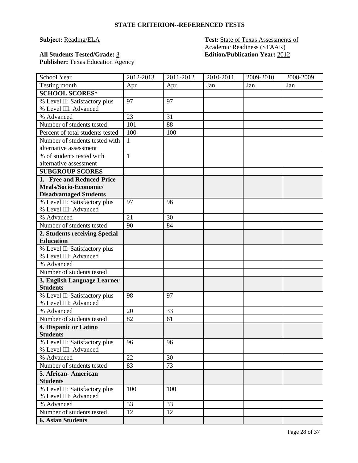#### **Subject: Reading/ELA Test: State of Texas Assessments of** Academic Readiness (STAAR) **All Students Tested/Grade:** 3 **Edition/Publication Year:** 2012

Publisher: Texas Education Agency

| School Year                                            | 2012-2013    | 2011-2012 | 2010-2011 | 2009-2010 | 2008-2009 |
|--------------------------------------------------------|--------------|-----------|-----------|-----------|-----------|
| Testing month                                          | Apr          | Apr       | Jan       | Jan       | Jan       |
| <b>SCHOOL SCORES*</b>                                  |              |           |           |           |           |
| % Level II: Satisfactory plus                          | 97           | 97        |           |           |           |
| % Level III: Advanced                                  |              |           |           |           |           |
| % Advanced                                             | 23           | 31        |           |           |           |
| Number of students tested                              | 101          | 88        |           |           |           |
| Percent of total students tested                       | 100          | 100       |           |           |           |
| Number of students tested with                         | $\mathbf{1}$ |           |           |           |           |
| alternative assessment                                 |              |           |           |           |           |
| % of students tested with                              | $\mathbf{1}$ |           |           |           |           |
| alternative assessment                                 |              |           |           |           |           |
| <b>SUBGROUP SCORES</b>                                 |              |           |           |           |           |
| 1. Free and Reduced-Price                              |              |           |           |           |           |
| Meals/Socio-Economic/                                  |              |           |           |           |           |
| <b>Disadvantaged Students</b>                          |              |           |           |           |           |
| % Level II: Satisfactory plus                          | 97           | 96        |           |           |           |
| % Level III: Advanced                                  |              |           |           |           |           |
| % Advanced                                             | 21           | 30        |           |           |           |
| Number of students tested                              | 90           | 84        |           |           |           |
| 2. Students receiving Special                          |              |           |           |           |           |
| <b>Education</b>                                       |              |           |           |           |           |
| % Level II: Satisfactory plus                          |              |           |           |           |           |
| % Level III: Advanced                                  |              |           |           |           |           |
| % Advanced                                             |              |           |           |           |           |
| Number of students tested                              |              |           |           |           |           |
| 3. English Language Learner                            |              |           |           |           |           |
| <b>Students</b>                                        |              |           |           |           |           |
| % Level II: Satisfactory plus                          | 98           | 97        |           |           |           |
| % Level III: Advanced                                  |              |           |           |           |           |
| % Advanced                                             | 20           | 33        |           |           |           |
| Number of students tested                              | 82           | 61        |           |           |           |
| 4. Hispanic or Latino                                  |              |           |           |           |           |
| <b>Students</b>                                        |              |           |           |           |           |
| % Level II: Satisfactory plus<br>% Level III: Advanced | 96           | 96        |           |           |           |
| % Advanced                                             | 22           | 30        |           |           |           |
| Number of students tested                              | 83           | 73        |           |           |           |
| 5. African-American                                    |              |           |           |           |           |
| <b>Students</b>                                        |              |           |           |           |           |
| % Level II: Satisfactory plus                          | 100          | 100       |           |           |           |
| % Level III: Advanced                                  |              |           |           |           |           |
| % Advanced                                             | 33           | 33        |           |           |           |
| Number of students tested                              | 12           | 12        |           |           |           |
| <b>6. Asian Students</b>                               |              |           |           |           |           |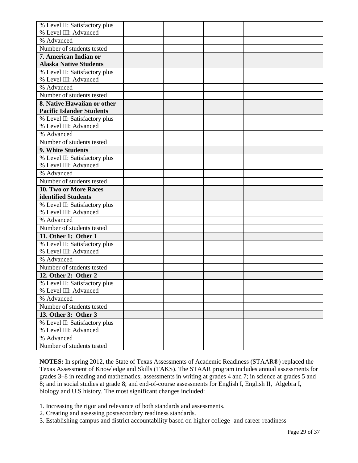| % Level II: Satisfactory plus           |  |  |  |
|-----------------------------------------|--|--|--|
| % Level III: Advanced                   |  |  |  |
| % Advanced                              |  |  |  |
| Number of students tested               |  |  |  |
| 7. American Indian or                   |  |  |  |
| <b>Alaska Native Students</b>           |  |  |  |
| % Level II: Satisfactory plus           |  |  |  |
| % Level III: Advanced                   |  |  |  |
| % Advanced                              |  |  |  |
| Number of students tested               |  |  |  |
| 8. Native Hawaiian or other             |  |  |  |
| <b>Pacific Islander Students</b>        |  |  |  |
| % Level II: Satisfactory plus           |  |  |  |
| % Level III: Advanced                   |  |  |  |
| % Advanced                              |  |  |  |
| Number of students tested               |  |  |  |
| 9. White Students                       |  |  |  |
| % Level II: Satisfactory plus           |  |  |  |
| % Level III: Advanced                   |  |  |  |
| % Advanced                              |  |  |  |
| Number of students tested               |  |  |  |
| 10. Two or More Races                   |  |  |  |
| identified Students                     |  |  |  |
| % Level II: Satisfactory plus           |  |  |  |
| % Level III: Advanced                   |  |  |  |
| % Advanced                              |  |  |  |
| Number of students tested               |  |  |  |
| 11. Other 1: Other 1                    |  |  |  |
|                                         |  |  |  |
| % Level II: Satisfactory plus           |  |  |  |
| % Level III: Advanced                   |  |  |  |
| % Advanced                              |  |  |  |
| Number of students tested               |  |  |  |
| 12. Other 2: Other 2                    |  |  |  |
| % Level II: Satisfactory plus           |  |  |  |
| % Level III: Advanced                   |  |  |  |
| % Advanced                              |  |  |  |
| Number of students tested               |  |  |  |
| 13. Other 3: Other 3                    |  |  |  |
| % Level II: Satisfactory plus           |  |  |  |
| % Level III: Advanced                   |  |  |  |
| % Advanced<br>Number of students tested |  |  |  |

**NOTES:** In spring 2012, the State of Texas Assessments of Academic Readiness (STAAR®) replaced the Texas Assessment of Knowledge and Skills (TAKS). The STAAR program includes annual assessments for grades 3–8 in reading and mathematics; assessments in writing at grades 4 and 7; in science at grades 5 and 8; and in social studies at grade 8; and end-of-course assessments for English I, English II, Algebra I, biology and U.S history. The most significant changes included:

- 1. Increasing the rigor and relevance of both standards and assessments.
- 2. Creating and assessing postsecondary readiness standards.
- 3. Establishing campus and district accountability based on higher college- and career-readiness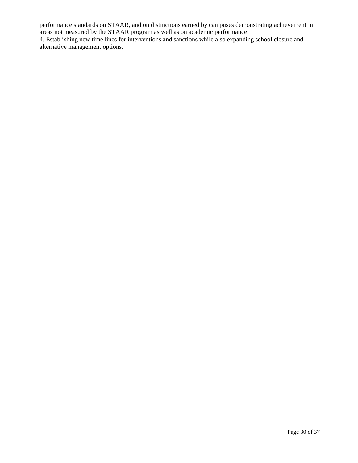performance standards on STAAR, and on distinctions earned by campuses demonstrating achievement in areas not measured by the STAAR program as well as on academic performance.

4. Establishing new time lines for interventions and sanctions while also expanding school closure and alternative management options.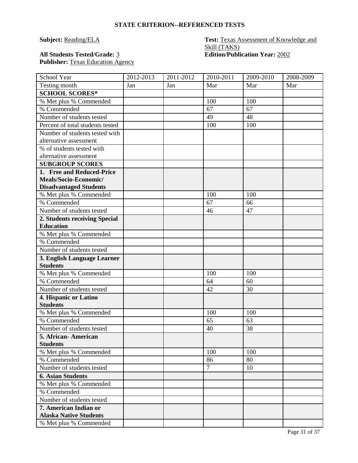# **Subject: Reading/ELA Test: Texas Assessment of Knowledge and** Skill (TAKS)<br>Edition/Publication Year: 2002

**All Students Tested/Grade: 3** Publisher: Texas Education Agency

| School Year                                    | 2012-2013 | 2011-2012 | 2010-2011      | 2009-2010 | 2008-2009 |
|------------------------------------------------|-----------|-----------|----------------|-----------|-----------|
| Testing month                                  | Jan       | Jan       | Mar            | Mar       | Mar       |
| <b>SCHOOL SCORES*</b>                          |           |           |                |           |           |
| % Met plus % Commended                         |           |           | 100            | 100       |           |
| % Commended                                    |           |           | 67             | 67        |           |
| Number of students tested                      |           |           | 49             | 48        |           |
| Percent of total students tested               |           |           | 100            | 100       |           |
| Number of students tested with                 |           |           |                |           |           |
| alternative assessment                         |           |           |                |           |           |
| % of students tested with                      |           |           |                |           |           |
| alternative assessment                         |           |           |                |           |           |
| <b>SUBGROUP SCORES</b>                         |           |           |                |           |           |
| 1. Free and Reduced-Price                      |           |           |                |           |           |
| Meals/Socio-Economic/                          |           |           |                |           |           |
| <b>Disadvantaged Students</b>                  |           |           |                |           |           |
| % Met plus % Commended                         |           |           | 100            | 100       |           |
| % Commended                                    |           |           | 67             | 66        |           |
| Number of students tested                      |           |           | 46             | 47        |           |
| 2. Students receiving Special                  |           |           |                |           |           |
| <b>Education</b>                               |           |           |                |           |           |
| % Met plus % Commended                         |           |           |                |           |           |
| % Commended                                    |           |           |                |           |           |
| Number of students tested                      |           |           |                |           |           |
| 3. English Language Learner<br><b>Students</b> |           |           |                |           |           |
| % Met plus % Commended                         |           |           | 100            | 100       |           |
| % Commended                                    |           |           | 64             | 60        |           |
| Number of students tested                      |           |           | 42             | 30        |           |
| 4. Hispanic or Latino                          |           |           |                |           |           |
| <b>Students</b>                                |           |           |                |           |           |
| % Met plus % Commended                         |           |           | 100            | 100       |           |
| % Commended                                    |           |           | 65             | 63        |           |
| Number of students tested                      |           |           | 40             | 38        |           |
| 5. African-American                            |           |           |                |           |           |
| <b>Students</b>                                |           |           |                |           |           |
| % Met plus % Commended                         |           |           | 100            | 100       |           |
| % Commended                                    |           |           | 86             | 80        |           |
| Number of students tested                      |           |           | $\overline{7}$ | 10        |           |
| <b>6. Asian Students</b>                       |           |           |                |           |           |
| % Met plus % Commended                         |           |           |                |           |           |
| % Commended                                    |           |           |                |           |           |
| Number of students tested                      |           |           |                |           |           |
| 7. American Indian or                          |           |           |                |           |           |
| <b>Alaska Native Students</b>                  |           |           |                |           |           |
| % Met plus % Commended                         |           |           |                |           |           |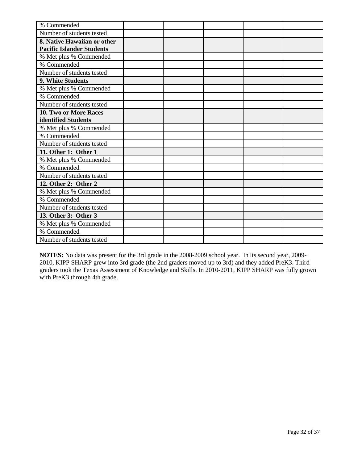| % Commended                      |  |  |  |
|----------------------------------|--|--|--|
| Number of students tested        |  |  |  |
| 8. Native Hawaiian or other      |  |  |  |
| <b>Pacific Islander Students</b> |  |  |  |
| % Met plus % Commended           |  |  |  |
| % Commended                      |  |  |  |
| Number of students tested        |  |  |  |
| 9. White Students                |  |  |  |
| % Met plus % Commended           |  |  |  |
| % Commended                      |  |  |  |
| Number of students tested        |  |  |  |
| <b>10. Two or More Races</b>     |  |  |  |
| identified Students              |  |  |  |
| % Met plus % Commended           |  |  |  |
| % Commended                      |  |  |  |
| Number of students tested        |  |  |  |
| 11. Other 1: Other 1             |  |  |  |
| % Met plus % Commended           |  |  |  |
| % Commended                      |  |  |  |
| Number of students tested        |  |  |  |
| 12. Other 2: Other 2             |  |  |  |
| % Met plus % Commended           |  |  |  |
| % Commended                      |  |  |  |
| Number of students tested        |  |  |  |
| 13. Other 3: Other 3             |  |  |  |
| % Met plus % Commended           |  |  |  |
| % Commended                      |  |  |  |
| Number of students tested        |  |  |  |

**NOTES:** No data was present for the 3rd grade in the 2008-2009 school year. In its second year, 2009- 2010, KIPP SHARP grew into 3rd grade (the 2nd graders moved up to 3rd) and they added PreK3. Third graders took the Texas Assessment of Knowledge and Skills. In 2010-2011, KIPP SHARP was fully grown with PreK3 through 4th grade.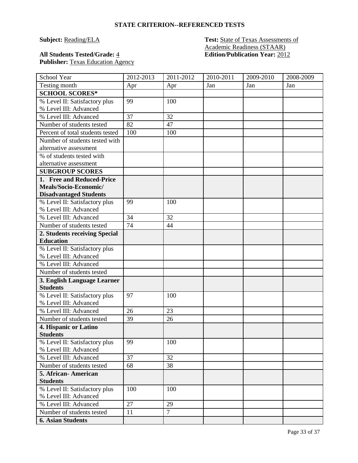# **Subject: Reading/ELA Test: State of Texas Assessments of** Academic Readiness (STAAR)<br>Edition/Publication Year: 2012

**All Students Tested/Grade:**  $\frac{4}{5}$ Publisher: Texas Education Agency

| School Year                      | 2012-2013 | 2011-2012      | 2010-2011 | 2009-2010 | 2008-2009 |
|----------------------------------|-----------|----------------|-----------|-----------|-----------|
| Testing month                    | Apr       | Apr            | Jan       | Jan       | Jan       |
| <b>SCHOOL SCORES*</b>            |           |                |           |           |           |
| % Level II: Satisfactory plus    | 99        | 100            |           |           |           |
| % Level III: Advanced            |           |                |           |           |           |
| % Level III: Advanced            | 37        | 32             |           |           |           |
| Number of students tested        | 82        | 47             |           |           |           |
| Percent of total students tested | 100       | 100            |           |           |           |
| Number of students tested with   |           |                |           |           |           |
| alternative assessment           |           |                |           |           |           |
| % of students tested with        |           |                |           |           |           |
| alternative assessment           |           |                |           |           |           |
| <b>SUBGROUP SCORES</b>           |           |                |           |           |           |
| 1. Free and Reduced-Price        |           |                |           |           |           |
| Meals/Socio-Economic/            |           |                |           |           |           |
| <b>Disadvantaged Students</b>    |           |                |           |           |           |
| % Level II: Satisfactory plus    | 99        | 100            |           |           |           |
| % Level III: Advanced            |           |                |           |           |           |
| % Level III: Advanced            | 34        | 32             |           |           |           |
| Number of students tested        | 74        | 44             |           |           |           |
| 2. Students receiving Special    |           |                |           |           |           |
| <b>Education</b>                 |           |                |           |           |           |
| % Level II: Satisfactory plus    |           |                |           |           |           |
| % Level III: Advanced            |           |                |           |           |           |
| % Level III: Advanced            |           |                |           |           |           |
| Number of students tested        |           |                |           |           |           |
| 3. English Language Learner      |           |                |           |           |           |
| <b>Students</b>                  |           |                |           |           |           |
| % Level II: Satisfactory plus    | 97        | 100            |           |           |           |
| % Level III: Advanced            |           |                |           |           |           |
| % Level III: Advanced            | 26        | 23             |           |           |           |
| Number of students tested        | 39        | 26             |           |           |           |
| 4. Hispanic or Latino            |           |                |           |           |           |
| <b>Students</b>                  |           |                |           |           |           |
| % Level II: Satisfactory plus    | 99        | 100            |           |           |           |
| % Level III: Advanced            |           |                |           |           |           |
| % Level III: Advanced            | 37        | 32             |           |           |           |
| Number of students tested        | 68        | 38             |           |           |           |
| 5. African-American              |           |                |           |           |           |
| <b>Students</b>                  |           |                |           |           |           |
| % Level II: Satisfactory plus    | 100       | 100            |           |           |           |
| % Level III: Advanced            |           |                |           |           |           |
| % Level III: Advanced            | 27        | 29             |           |           |           |
| Number of students tested        | 11        | $\overline{7}$ |           |           |           |
| <b>6. Asian Students</b>         |           |                |           |           |           |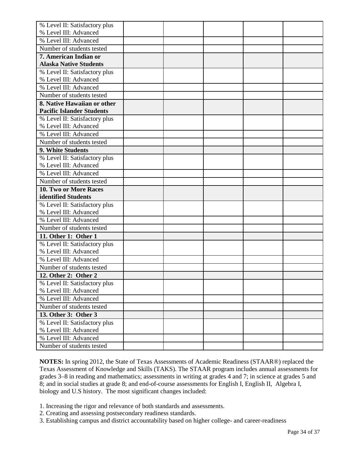| % Level II: Satisfactory plus                      |  |  |  |
|----------------------------------------------------|--|--|--|
| % Level III: Advanced                              |  |  |  |
| % Level III: Advanced                              |  |  |  |
| Number of students tested                          |  |  |  |
| 7. American Indian or                              |  |  |  |
| <b>Alaska Native Students</b>                      |  |  |  |
| % Level II: Satisfactory plus                      |  |  |  |
| % Level III: Advanced                              |  |  |  |
| % Level III: Advanced                              |  |  |  |
| Number of students tested                          |  |  |  |
| 8. Native Hawaiian or other                        |  |  |  |
| <b>Pacific Islander Students</b>                   |  |  |  |
| % Level II: Satisfactory plus                      |  |  |  |
| % Level III: Advanced                              |  |  |  |
| % Level III: Advanced                              |  |  |  |
| Number of students tested                          |  |  |  |
| 9. White Students                                  |  |  |  |
| % Level II: Satisfactory plus                      |  |  |  |
| % Level III: Advanced                              |  |  |  |
| % Level III: Advanced                              |  |  |  |
| Number of students tested                          |  |  |  |
|                                                    |  |  |  |
| 10. Two or More Races                              |  |  |  |
| identified Students                                |  |  |  |
| % Level II: Satisfactory plus                      |  |  |  |
| % Level III: Advanced                              |  |  |  |
| % Level III: Advanced                              |  |  |  |
| Number of students tested                          |  |  |  |
| 11. Other 1: Other 1                               |  |  |  |
| % Level II: Satisfactory plus                      |  |  |  |
| % Level III: Advanced                              |  |  |  |
| % Level III: Advanced                              |  |  |  |
| Number of students tested                          |  |  |  |
| 12. Other 2: Other 2                               |  |  |  |
| % Level II: Satisfactory plus                      |  |  |  |
| % Level III: Advanced                              |  |  |  |
| % Level III: Advanced                              |  |  |  |
| Number of students tested                          |  |  |  |
| 13. Other 3: Other 3                               |  |  |  |
| % Level II: Satisfactory plus                      |  |  |  |
| % Level III: Advanced                              |  |  |  |
| % Level III: Advanced<br>Number of students tested |  |  |  |

**NOTES:** In spring 2012, the State of Texas Assessments of Academic Readiness (STAAR®) replaced the Texas Assessment of Knowledge and Skills (TAKS). The STAAR program includes annual assessments for grades 3–8 in reading and mathematics; assessments in writing at grades 4 and 7; in science at grades 5 and 8; and in social studies at grade 8; and end-of-course assessments for English I, English II, Algebra I, biology and U.S history. The most significant changes included:

- 1. Increasing the rigor and relevance of both standards and assessments.
- 2. Creating and assessing postsecondary readiness standards.
- 3. Establishing campus and district accountability based on higher college- and career-readiness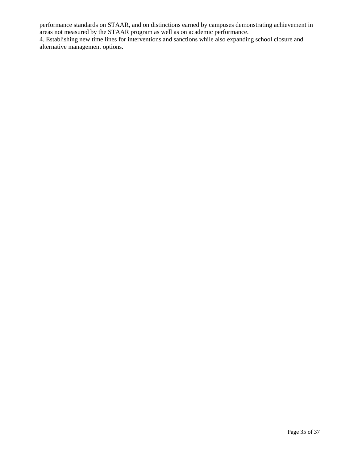performance standards on STAAR, and on distinctions earned by campuses demonstrating achievement in areas not measured by the STAAR program as well as on academic performance.

4. Establishing new time lines for interventions and sanctions while also expanding school closure and alternative management options.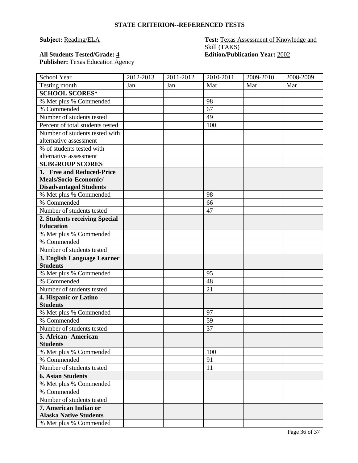# **All Students Tested/Grade:** 4 **Edition/Publication Year:** 2002 Publisher: Texas Education Agency

# **Subject: Reading/ELA Test: Texas Assessment of Knowledge and** Skill (TAKS)

| School Year                      | 2012-2013 | 2011-2012 | 2010-2011 | 2009-2010 | 2008-2009 |
|----------------------------------|-----------|-----------|-----------|-----------|-----------|
| Testing month                    | Jan       | Jan       | Mar       | Mar       | Mar       |
| <b>SCHOOL SCORES*</b>            |           |           |           |           |           |
| % Met plus % Commended           |           |           | 98        |           |           |
| % Commended                      |           |           | 67        |           |           |
| Number of students tested        |           |           | 49        |           |           |
| Percent of total students tested |           |           | 100       |           |           |
| Number of students tested with   |           |           |           |           |           |
| alternative assessment           |           |           |           |           |           |
| % of students tested with        |           |           |           |           |           |
| alternative assessment           |           |           |           |           |           |
| <b>SUBGROUP SCORES</b>           |           |           |           |           |           |
| 1. Free and Reduced-Price        |           |           |           |           |           |
| Meals/Socio-Economic/            |           |           |           |           |           |
| <b>Disadvantaged Students</b>    |           |           |           |           |           |
| % Met plus % Commended           |           |           | 98        |           |           |
| % Commended                      |           |           | 66        |           |           |
| Number of students tested        |           |           | 47        |           |           |
| 2. Students receiving Special    |           |           |           |           |           |
| <b>Education</b>                 |           |           |           |           |           |
| % Met plus % Commended           |           |           |           |           |           |
| % Commended                      |           |           |           |           |           |
| Number of students tested        |           |           |           |           |           |
| 3. English Language Learner      |           |           |           |           |           |
| <b>Students</b>                  |           |           |           |           |           |
| % Met plus % Commended           |           |           | 95        |           |           |
| % Commended                      |           |           | 48        |           |           |
| Number of students tested        |           |           | 21        |           |           |
| 4. Hispanic or Latino            |           |           |           |           |           |
| <b>Students</b>                  |           |           |           |           |           |
| % Met plus % Commended           |           |           | 97        |           |           |
| % Commended                      |           |           | 59        |           |           |
| Number of students tested        |           |           | 37        |           |           |
| 5. African-American              |           |           |           |           |           |
| <b>Students</b>                  |           |           |           |           |           |
| % Met plus % Commended           |           |           | 100       |           |           |
| % Commended                      |           |           | 91        |           |           |
| Number of students tested        |           |           | 11        |           |           |
| <b>6. Asian Students</b>         |           |           |           |           |           |
| % Met plus % Commended           |           |           |           |           |           |
| % Commended                      |           |           |           |           |           |
| Number of students tested        |           |           |           |           |           |
| 7. American Indian or            |           |           |           |           |           |
| <b>Alaska Native Students</b>    |           |           |           |           |           |
| % Met plus % Commended           |           |           |           |           |           |